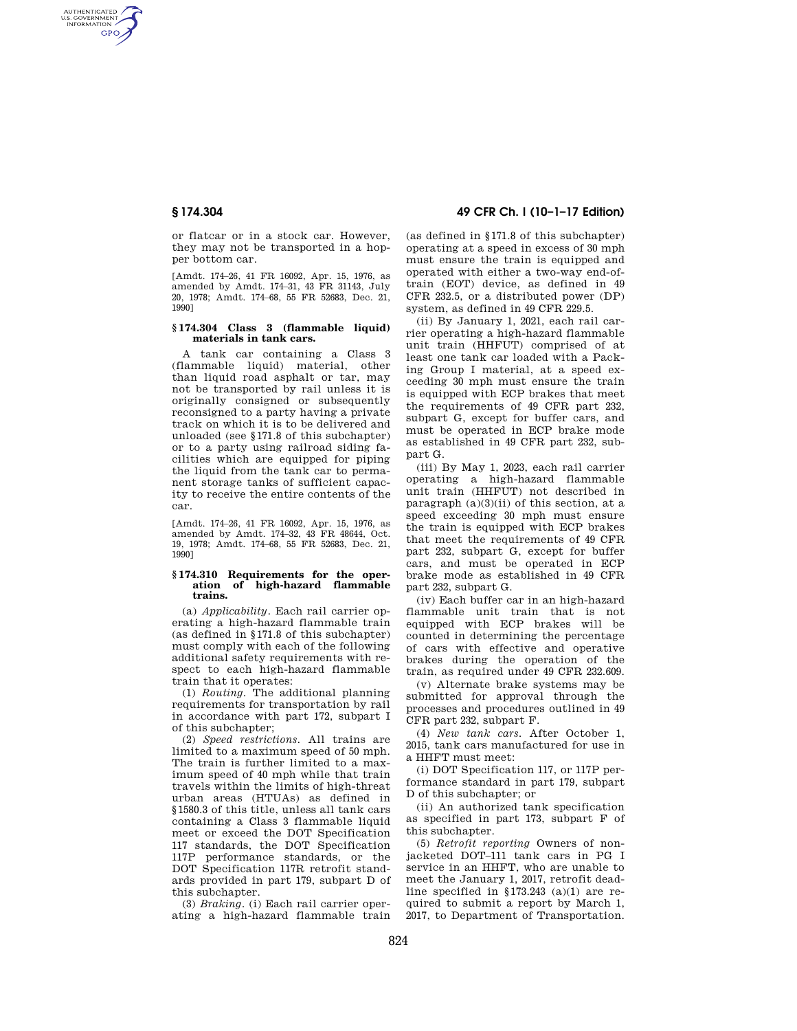AUTHENTICATED<br>U.S. GOVERNMENT<br>INFORMATION **GPO** 

> or flatcar or in a stock car. However, they may not be transported in a hopper bottom car.

> [Amdt. 174–26, 41 FR 16092, Apr. 15, 1976, as amended by Amdt. 174–31, 43 FR 31143, July 20, 1978; Amdt. 174–68, 55 FR 52683, Dec. 21, 1990]

## **§ 174.304 Class 3 (flammable liquid) materials in tank cars.**

A tank car containing a Class 3 (flammable liquid) material, other than liquid road asphalt or tar, may not be transported by rail unless it is originally consigned or subsequently reconsigned to a party having a private track on which it is to be delivered and unloaded (see §171.8 of this subchapter) or to a party using railroad siding facilities which are equipped for piping the liquid from the tank car to permanent storage tanks of sufficient capacity to receive the entire contents of the car.

[Amdt. 174–26, 41 FR 16092, Apr. 15, 1976, as amended by Amdt. 174–32, 43 FR 48644, Oct. 19, 1978; Amdt. 174–68, 55 FR 52683, Dec. 21, 1990]

#### **§ 174.310 Requirements for the operation of high-hazard flammable trains.**

(a) *Applicability.* Each rail carrier operating a high-hazard flammable train (as defined in §171.8 of this subchapter) must comply with each of the following additional safety requirements with respect to each high-hazard flammable train that it operates:

(1) *Routing.* The additional planning requirements for transportation by rail in accordance with part 172, subpart I of this subchapter;

(2) *Speed restrictions.* All trains are limited to a maximum speed of 50 mph. The train is further limited to a maximum speed of 40 mph while that train travels within the limits of high-threat urban areas (HTUAs) as defined in §1580.3 of this title, unless all tank cars containing a Class 3 flammable liquid meet or exceed the DOT Specification 117 standards, the DOT Specification 117P performance standards, or the DOT Specification 117R retrofit standards provided in part 179, subpart D of this subchapter.

(3) *Braking.* (i) Each rail carrier operating a high-hazard flammable train

# **§ 174.304 49 CFR Ch. I (10–1–17 Edition)**

(as defined in §171.8 of this subchapter) operating at a speed in excess of 30 mph must ensure the train is equipped and operated with either a two-way end-oftrain (EOT) device, as defined in 49 CFR 232.5, or a distributed power (DP) system, as defined in 49 CFR 229.5.

(ii) By January 1, 2021, each rail carrier operating a high-hazard flammable unit train (HHFUT) comprised of at least one tank car loaded with a Packing Group I material, at a speed exceeding 30 mph must ensure the train is equipped with ECP brakes that meet the requirements of 49 CFR part 232, subpart G, except for buffer cars, and must be operated in ECP brake mode as established in 49 CFR part 232, subpart G.

(iii) By May 1, 2023, each rail carrier operating a high-hazard flammable unit train (HHFUT) not described in paragraph (a)(3)(ii) of this section, at a speed exceeding 30 mph must ensure the train is equipped with ECP brakes that meet the requirements of 49 CFR part 232, subpart G, except for buffer cars, and must be operated in ECP brake mode as established in 49 CFR part 232, subpart G.

(iv) Each buffer car in an high-hazard flammable unit train that is not equipped with ECP brakes will be counted in determining the percentage of cars with effective and operative brakes during the operation of the train, as required under 49 CFR 232.609.

(v) Alternate brake systems may be submitted for approval through the processes and procedures outlined in 49 CFR part 232, subpart F.

(4) *New tank cars.* After October 1, 2015, tank cars manufactured for use in a HHFT must meet:

(i) DOT Specification 117, or 117P performance standard in part 179, subpart D of this subchapter; or

(ii) An authorized tank specification as specified in part 173, subpart F of this subchapter.

(5) *Retrofit reporting* Owners of nonjacketed DOT–111 tank cars in PG I service in an HHFT, who are unable to meet the January 1, 2017, retrofit deadline specified in §173.243 (a)(1) are required to submit a report by March 1, 2017, to Department of Transportation.